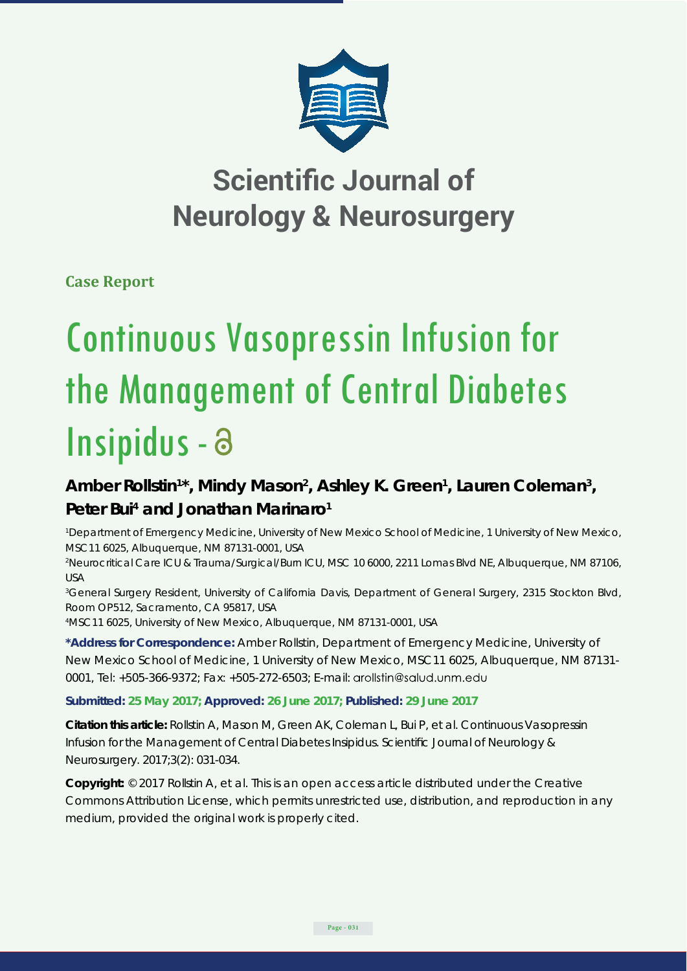

## **Scientific Journal of Neurology & Neurosurgery**

**Case Report**

# Continuous Vasopressin Infusion for the Management of Central Diabetes Insipidus -

### Amber Rollstin<sup>1\*</sup>, Mindy Mason<sup>2</sup>, Ashley K. Green<sup>1</sup>, Lauren Coleman<sup>3</sup>, Peter Bui<sup>4</sup> and Jonathan Marinaro<sup>1</sup>

<sup>1</sup> Department of Emergency Medicine, University of New Mexico School of Medicine, 1 University of New Mexico, *MSC11 6025, Albuquerque, NM 87131-0001, USA*

*2 Neurocritical Care ICU & Trauma/Surgical/Burn ICU, MSC 10 6000, 2211 Lomas Blvd NE, Albuquerque, NM 87106, USA*

*3 General Surgery Resident, University of California Davis, Department of General Surgery, 2315 Stockton Blvd, Room OP512, Sacramento, CA 95817, USA*

*4 MSC11 6025, University of New Mexico, Albuquerque, NM 87131-0001, USA*

**\*Address for Correspondence:** Amber Rollstin, Department of Emergency Medicine, University of New Mexico School of Medicine, 1 University of New Mexico, MSC11 6025, Albuquerque, NM 87131- 0001, Tel: +505-366-9372; Fax: +505-272-6503; E-mail:

**Submitted: 25 May 2017; Approved: 26 June 2017; Published: 29 June 2017**

**Citation this article:** Rollstin A, Mason M, Green AK, Coleman L, Bui P, et al. Continuous Vasopressin Infusion for the Management of Central Diabetes Insipidus. Scientific Journal of Neurology & Neurosurgery. 2017;3(2): 031-034.

**Copyright:** © 2017 Rollstin A, et al. This is an open access article distributed under the Creative Commons Attribution License, which permits unrestricted use, distribution, and reproduction in any medium, provided the original work is properly cited.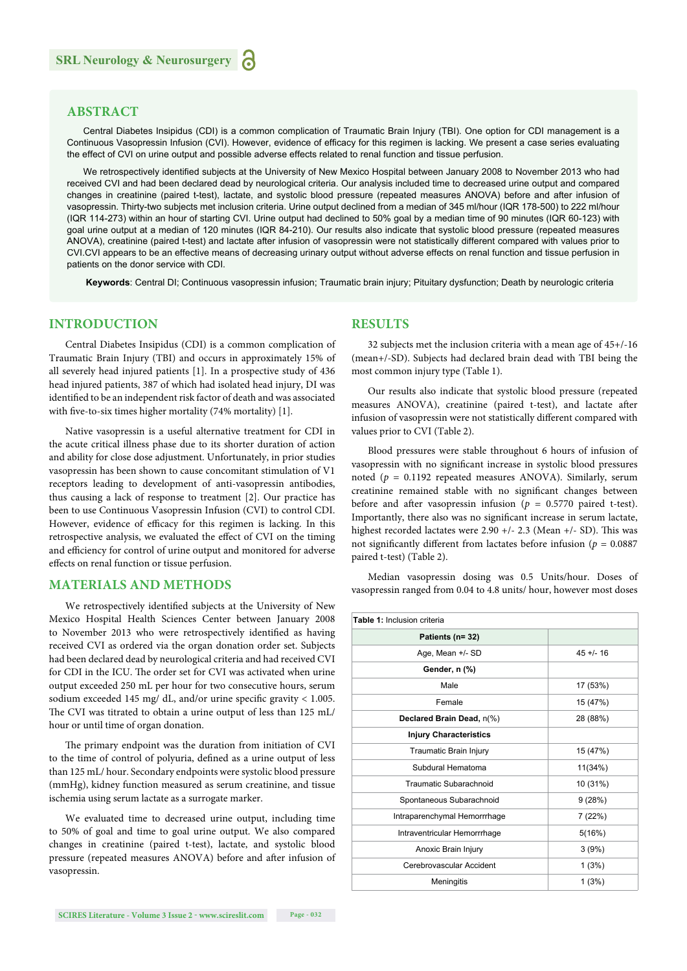#### **ABSTRACT**

Central Diabetes Insipidus (CDI) is a common complication of Traumatic Brain Injury (TBI). One option for CDI management is a Continuous Vasopressin Infusion (CVI). However, evidence of efficacy for this regimen is lacking. We present a case series evaluating the effect of CVI on urine output and possible adverse effects related to renal function and tissue perfusion.

We retrospectively identified subjects at the University of New Mexico Hospital between January 2008 to November 2013 who had received CVI and had been declared dead by neurological criteria. Our analysis included time to decreased urine output and compared changes in creatinine (paired t-test), lactate, and systolic blood pressure (repeated measures ANOVA) before and after infusion of vasopressin. Thirty-two subjects met inclusion criteria. Urine output declined from a median of 345 ml/hour (IQR 178-500) to 222 ml/hour (IQR 114-273) within an hour of starting CVI. Urine output had declined to 50% goal by a median time of 90 minutes (IQR 60-123) with goal urine output at a median of 120 minutes (IQR 84-210). Our results also indicate that systolic blood pressure (repeated measures ANOVA), creatinine (paired t-test) and lactate after infusion of vasopressin were not statistically different compared with values prior to CVI.CVI appears to be an effective means of decreasing urinary output without adverse effects on renal function and tissue perfusion in patients on the donor service with CDI.

 **Keywords**: Central DI; Continuous vasopressin infusion; Traumatic brain injury; Pituitary dysfunction; Death by neurologic criteria

#### **INTRODUCTION**

Central Diabetes Insipidus (CDI) is a common complication of Traumatic Brain Injury (TBI) and occurs in approximately 15% of all severely head injured patients [1]. In a prospective study of 436 head injured patients, 387 of which had isolated head injury, DI was identified to be an independent risk factor of death and was associated with five-to-six times higher mortality  $(74%$  mortality) [1].

Native vasopressin is a useful alternative treatment for CDI in the acute critical illness phase due to its shorter duration of action and ability for close dose adjustment. Unfortunately, in prior studies vasopressin has been shown to cause concomitant stimulation of V1 receptors leading to development of anti-vasopressin antibodies, thus causing a lack of response to treatment [2]. Our practice has been to use Continuous Vasopressin Infusion (CVI) to control CDI. However, evidence of efficacy for this regimen is lacking. In this retrospective analysis, we evaluated the effect of CVI on the timing and efficiency for control of urine output and monitored for adverse effects on renal function or tissue perfusion.

#### **MATERIALS AND METHODS**

We retrospectively identified subjects at the University of New Mexico Hospital Health Sciences Center between January 2008 to November 2013 who were retrospectively identified as having received CVI as ordered via the organ donation order set. Subjects had been declared dead by neurological criteria and had received CVI for CDI in the ICU. The order set for CVI was activated when urine output exceeded 250 mL per hour for two consecutive hours, serum sodium exceeded 145 mg/ dL, and/or urine specific gravity  $< 1.005$ . The CVI was titrated to obtain a urine output of less than 125 mL/ hour or until time of organ donation.

The primary endpoint was the duration from initiation of CVI to the time of control of polyuria, defined as a urine output of less than 125 mL/ hour. Secondary endpoints were systolic blood pressure (mmHg), kidney function measured as serum creatinine, and tissue ischemia using serum lactate as a surrogate marker.

We evaluated time to decreased urine output, including time to 50% of goal and time to goal urine output. We also compared changes in creatinine (paired t-test), lactate, and systolic blood pressure (repeated measures ANOVA) before and after infusion of vasopressin.

#### **RESULTS**

32 subjects met the inclusion criteria with a mean age of 45+/-16 (mean+/-SD). Subjects had declared brain dead with TBI being the most common injury type (Table 1).

Our results also indicate that systolic blood pressure (repeated measures ANOVA), creatinine (paired t-test), and lactate after infusion of vasopressin were not statistically different compared with values prior to CVI (Table 2).

Blood pressures were stable throughout 6 hours of infusion of vasopressin with no significant increase in systolic blood pressures noted (*p* = 0.1192 repeated measures ANOVA). Similarly, serum creatinine remained stable with no significant changes between before and after vasopressin infusion ( $p = 0.5770$  paired t-test). Importantly, there also was no significant increase in serum lactate, highest recorded lactates were  $2.90 +/- 2.3$  (Mean  $+/-$  SD). This was not significantly different from lactates before infusion ( $p = 0.0887$ ) paired t-test) (Table 2).

Median vasopressin dosing was 0.5 Units/hour. Doses of vasopressin ranged from 0.04 to 4.8 units/ hour, however most doses

| Table 1: Inclusion criteria   |           |  |  |  |
|-------------------------------|-----------|--|--|--|
| Patients (n= 32)              |           |  |  |  |
| Age, Mean +/- SD              | $45 + 16$ |  |  |  |
| Gender, n (%)                 |           |  |  |  |
| Male                          | 17 (53%)  |  |  |  |
| Female                        | 15 (47%)  |  |  |  |
| Declared Brain Dead, n(%)     | 28 (88%)  |  |  |  |
| <b>Injury Characteristics</b> |           |  |  |  |
| Traumatic Brain Injury        | 15 (47%)  |  |  |  |
| Subdural Hematoma             | 11(34%)   |  |  |  |
| Traumatic Subarachnoid        | 10 (31%)  |  |  |  |
| Spontaneous Subarachnoid      | 9(28%)    |  |  |  |
| Intraparenchymal Hemorrrhage  | 7(22%)    |  |  |  |
| Intraventricular Hemorrrhage  | 5(16%)    |  |  |  |
| Anoxic Brain Injury           | 3(9%)     |  |  |  |
| Cerebrovascular Accident      | 1(3%)     |  |  |  |
| Meningitis                    | 1(3%)     |  |  |  |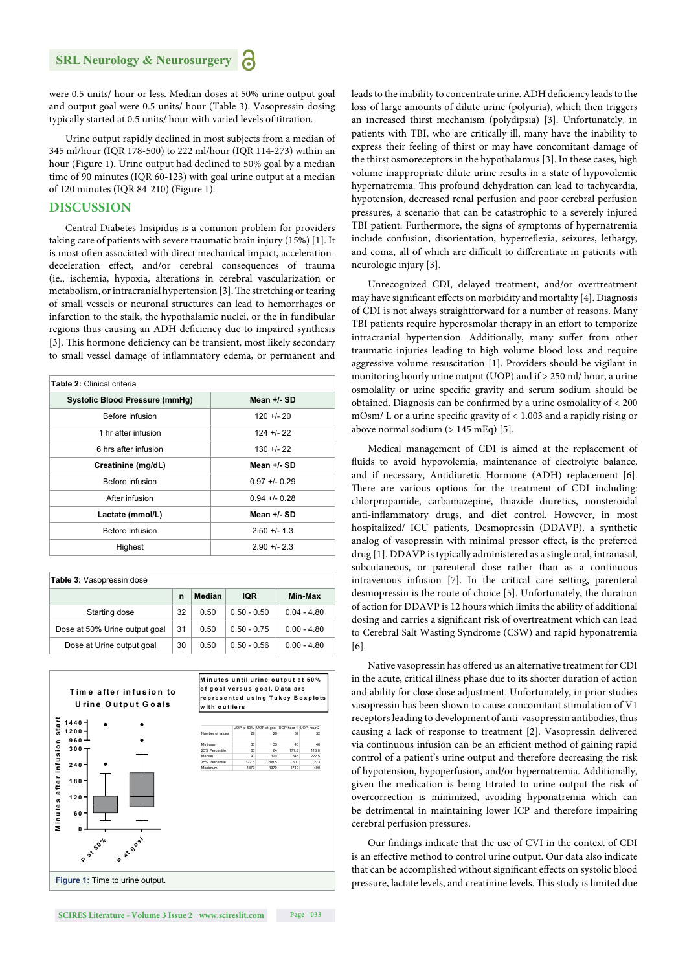were 0.5 units/ hour or less. Median doses at 50% urine output goal and output goal were 0.5 units/ hour (Table 3). Vasopressin dosing typically started at 0.5 units/ hour with varied levels of titration.

Urine output rapidly declined in most subjects from a median of 345 ml/hour (IQR 178-500) to 222 ml/hour (IQR 114-273) within an hour (Figure 1). Urine output had declined to 50% goal by a median time of 90 minutes (IQR 60-123) with goal urine output at a median of 120 minutes (IQR 84-210) (Figure 1).

#### **DISCUSSION**

Central Diabetes Insipidus is a common problem for providers taking care of patients with severe traumatic brain injury (15%) [1]. It is most often associated with direct mechanical impact, accelerationdeceleration effect, and/or cerebral consequences of trauma (ie., ischemia, hypoxia, alterations in cerebral vascularization or metabolism, or intracranial hypertension [3]. The stretching or tearing of small vessels or neuronal structures can lead to hemorrhages or infarction to the stalk, the hypothalamic nuclei, or the in fundibular regions thus causing an ADH deficiency due to impaired synthesis [3]. This hormone deficiency can be transient, most likely secondary to small vessel damage of inflammatory edema, or permanent and

| Table 2: Clinical criteria            |               |  |  |  |
|---------------------------------------|---------------|--|--|--|
| <b>Systolic Blood Pressure (mmHg)</b> | Mean +/- SD   |  |  |  |
| Before infusion                       | $120 + 20$    |  |  |  |
| 1 hr after infusion                   | $124 + 22$    |  |  |  |
| 6 hrs after infusion                  | $130 + 22$    |  |  |  |
| Creatinine (mg/dL)                    | Mean +/- SD   |  |  |  |
| Before infusion                       | $0.97 + 0.29$ |  |  |  |
| After infusion                        | $0.94 + 0.28$ |  |  |  |
| Lactate (mmol/L)                      | Mean +/- SD   |  |  |  |
| Before Infusion                       | $2.50 + 1.3$  |  |  |  |
| Highest                               | $2.90 + 2.3$  |  |  |  |

| Table 3: Vasopressin dose     |    |        |               |               |  |
|-------------------------------|----|--------|---------------|---------------|--|
|                               | n  | Median | IQR           | Min-Max       |  |
| Starting dose                 | 32 | 0.50   | $0.50 - 0.50$ | $0.04 - 4.80$ |  |
| Dose at 50% Urine output goal | 31 | 0.50   | $0.50 - 0.75$ | $0.00 - 4.80$ |  |
| Dose at Urine output goal     | 30 | 0.50   | $0.50 - 0.56$ | $0.00 - 4.80$ |  |



leads to the inability to concentrate urine. ADH deficiency leads to the loss of large amounts of dilute urine (polyuria), which then triggers an increased thirst mechanism (polydipsia) [3]. Unfortunately, in patients with TBI, who are critically ill, many have the inability to express their feeling of thirst or may have concomitant damage of the thirst osmoreceptors in the hypothalamus [3]. In these cases, high volume inappropriate dilute urine results in a state of hypovolemic hypernatremia. This profound dehydration can lead to tachycardia, hypotension, decreased renal perfusion and poor cerebral perfusion pressures, a scenario that can be catastrophic to a severely injured TBI patient. Furthermore, the signs of symptoms of hypernatremia include confusion, disorientation, hyperreflexia, seizures, lethargy, and coma, all of which are difficult to differentiate in patients with neurologic injury [3].

Unrecognized CDI, delayed treatment, and/or overtreatment may have significant effects on morbidity and mortality [4]. Diagnosis of CDI is not always straightforward for a number of reasons. Many TBI patients require hyperosmolar therapy in an effort to temporize intracranial hypertension. Additionally, many suffer from other traumatic injuries leading to high volume blood loss and require aggressive volume resuscitation [1]. Providers should be vigilant in monitoring hourly urine output (UOP) and if > 250 ml/ hour, a urine osmolality or urine specific gravity and serum sodium should be obtained. Diagnosis can be confirmed by a urine osmolality of  $<$  200 mOsm/ L or a urine specific gravity of  $< 1.003$  and a rapidly rising or above normal sodium (> 145 mEq) [5].

Medical management of CDI is aimed at the replacement of fluids to avoid hypovolemia, maintenance of electrolyte balance, and if necessary, Antidiuretic Hormone (ADH) replacement [6]. There are various options for the treatment of CDI including: chlorpropamide, carbamazepine, thiazide diuretics, nonsteroidal anti-inflammatory drugs, and diet control. However, in most hospitalized/ ICU patients, Desmopressin (DDAVP), a synthetic analog of vasopressin with minimal pressor effect, is the preferred drug [1]. DDAVP is typically administered as a single oral, intranasal, subcutaneous, or parenteral dose rather than as a continuous intravenous infusion [7]. In the critical care setting, parenteral desmopressin is the route of choice [5]. Unfortunately, the duration of action for DDAVP is 12 hours which limits the ability of additional dosing and carries a significant risk of overtreatment which can lead to Cerebral Salt Wasting Syndrome (CSW) and rapid hyponatremia [6].

Native vasopressin has offered us an alternative treatment for CDI in the acute, critical illness phase due to its shorter duration of action and ability for close dose adjustment. Unfortunately, in prior studies vasopressin has been shown to cause concomitant stimulation of V1 receptors leading to development of anti-vasopressin antibodies, thus causing a lack of response to treatment [2]. Vasopressin delivered via continuous infusion can be an efficient method of gaining rapid control of a patient's urine output and therefore decreasing the risk of hypotension, hypoperfusion, and/or hypernatremia. Additionally, given the medication is being titrated to urine output the risk of overcorrection is minimized, avoiding hyponatremia which can be detrimental in maintaining lower ICP and therefore impairing cerebral perfusion pressures.

Our findings indicate that the use of CVI in the context of CDI is an effective method to control urine output. Our data also indicate that can be accomplished without significant effects on systolic blood pressure, lactate levels, and creatinine levels. This study is limited due